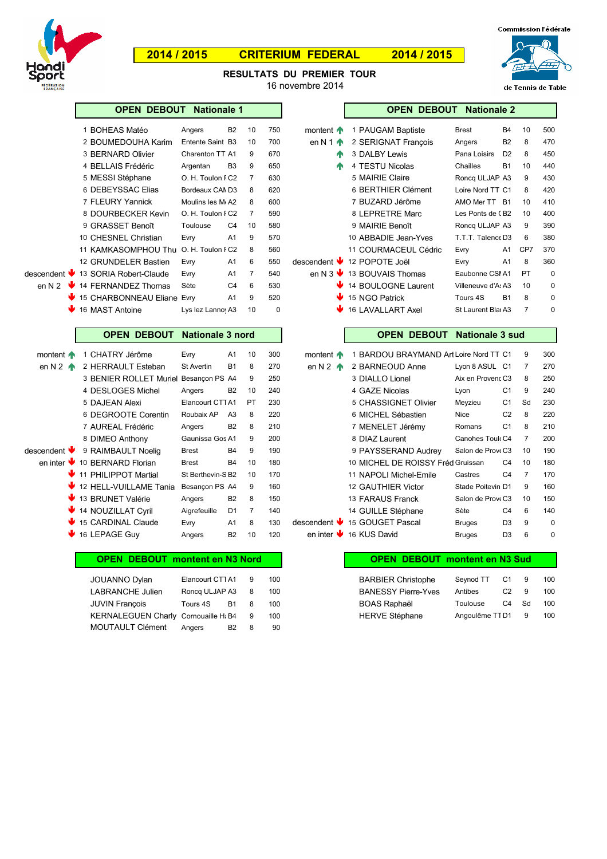

Г

# **2014 / 2015 CRITERIUM FEDERAL 2014 / 2015**



de Tennis de Table

**RESULTATS DU PREMIER TOUR** 16 novembre 2014

|                          | <b>OPEN DEBOUT</b>         | <b>Nationale 1</b>         |    |          |                                  | <b>OPEN DEBOUT Nationale 2</b> |                    |                |     |     |
|--------------------------|----------------------------|----------------------------|----|----------|----------------------------------|--------------------------------|--------------------|----------------|-----|-----|
|                          | <b>BOHEAS Matéo</b>        | B <sub>2</sub><br>Angers   | 10 | 750      | montent $\bigwedge$              | 1 PAUGAM Baptiste              | <b>Brest</b>       | <b>B4</b>      | 10  | 500 |
|                          | 2 BOUMEDOUHA Karim         | Entente Saint B3           | 10 | 700      | en N 1 $\spadesuit$              | 2 SERIGNAT Francois            | Angers             | B <sub>2</sub> | 8   | 470 |
|                          | 3 BERNARD Olivier          | Charenton TT A1            | 9  | 670      | Æ                                | 3 DALBY Lewis                  | Pana Loisirs       | D <sub>2</sub> | 8   | 450 |
|                          | 4 BELLAIS Frédéric         | B <sub>3</sub><br>Argentan | 9  | 650      | W                                | 4 TESTU Nicolas                | Chailles           | <b>B1</b>      | 10  | 440 |
|                          | 5 MESSI Stéphane           | O. H. Toulon I C2          | 7  | 630      |                                  | 5 MAIRIE Claire                | Roncg ULJAP A3     |                | 9   | 430 |
|                          | 6 DEBEYSSAC Elias          | Bordeaux CAMD3             | 8  | 620      |                                  | 6 BERTHIER Clément             | Loire Nord TT C1   |                | 8   | 420 |
|                          | 7 FLEURY Yannick           | Moulins les M(A2           | 8  | 600      |                                  | 7 BUZARD Jérôme                | AMO Mer TT B1      |                | 10  | 410 |
|                          | 8 DOURBECKER Kevin         | O. H. Toulon I C2          | 7  | 590      |                                  | 8 LEPRETRE Marc                | Les Ponts de CB2   |                | 10  | 400 |
|                          | 9 GRASSET Benoît           | C <sub>4</sub><br>Toulouse | 10 | 580      |                                  | 9 MAIRIE Benoît                | Roncg ULJAP A3     |                | 9   | 390 |
|                          | 10 CHESNEL Christian       | A <sub>1</sub><br>Evry     | 9  | 570      |                                  | 10 ABBADIE Jean-Yves           | T.T.T. Talence D3  |                | 6   | 380 |
|                          | 11 KAMKASOMPHOU Thu        | O. H. Toulon FC2           | 8  | 560      |                                  | 11 COURMACEUL Cédric           | Evry               | A <sub>1</sub> | CP7 | 370 |
|                          | 12 GRUNDELER Bastien       | A <sub>1</sub><br>Evry     | 6  | 550      | descendent $\blacktriangleright$ | 12 POPOTE Joël                 | Evry               | A <sub>1</sub> | 8   | 360 |
| ent $\blacktriangledown$ | 13 SORIA Robert-Claude     | A <sub>1</sub><br>Evry     | 7  | 540      | en N 3 $\vee$                    | 13 BOUVAIS Thomas              | Eaubonne CSI A1    |                | PT  | 0   |
| $2 \cdot \sqrt{2}$       | 14 FERNANDEZ Thomas        | C <sub>4</sub><br>Sète     | 6  | 530      |                                  | 14 BOULOGNE Laurent            | Villeneuve d'A: A3 |                | 10  | 0   |
|                          | 15 CHARBONNEAU Eliane Evry | A <sub>1</sub>             | 9  | 520      |                                  | 15 NGO Patrick                 | Tours 4S           | <b>B1</b>      | 8   | 0   |
|                          | ₩<br>16 MAST Antoine       | Lys lez Lannoy A3          | 10 | $\Omega$ |                                  | <b>16 LAVALLART Axel</b>       | St Laurent Blai A3 |                | 7   | 0   |

|        | 1 BOHEAS Matéo                        | Angers            | <b>B2</b>      | 10 | 750 | montent $\bigwedge$         | 1 PAUGAM Baptiste                              | <b>Brest</b>       | <b>B4</b>      | 10        | 500 |
|--------|---------------------------------------|-------------------|----------------|----|-----|-----------------------------|------------------------------------------------|--------------------|----------------|-----------|-----|
|        | 2 BOUMEDOUHA Karim                    | Entente Saint B3  |                | 10 | 700 | en N 1 $\spadesuit$         | 2 SERIGNAT Francois                            | Angers             | <b>B2</b>      | 8         | 470 |
|        | 3 BERNARD Olivier                     | Charenton TT A1   |                | 9  | 670 | 小                           | 3 DALBY Lewis                                  | Pana Loisirs       | D <sub>2</sub> | 8         | 450 |
|        | 4 BELLAIS Frédéric                    | Argentan          | B <sub>3</sub> | 9  | 650 | 小                           | 4 TESTU Nicolas                                | Chailles           | <b>B1</b>      | 10        | 440 |
|        | 5 MESSI Stéphane                      | O. H. Toulon I C2 |                | 7  | 630 |                             | 5 MAIRIE Claire                                | Roncg ULJAP A3     |                | 9         | 430 |
|        | 6 DEBEYSSAC Elias                     | Bordeaux CAND3    |                | 8  | 620 |                             | 6 BERTHIER Clément                             | Loire Nord TT C1   |                | 8         | 420 |
|        | 7 FLEURY Yannick                      | Moulins les M(A2  |                | 8  | 600 |                             | 7 BUZARD Jérôme                                | AMO Mer TT B1      |                | 10        | 410 |
|        | 8 DOURBECKER Kevin                    | O. H. Toulon I C2 |                | 7  | 590 |                             | 8 LEPRETRE Marc                                | Les Ponts de CB2   |                | 10        | 400 |
|        | 9 GRASSET Benoît                      | Toulouse          | C4             | 10 | 580 |                             | 9 MAIRIE Benoît                                | Roncg ULJAP A3     |                | 9         | 390 |
|        | 10 CHESNEL Christian                  | Evry              | A1             | 9  | 570 |                             | 10 ABBADIE Jean-Yves                           | T.T.T. Talence D3  |                | 6         | 380 |
|        | 11 KAMKASOMPHOU Thu O. H. Toulon I C2 |                   |                | 8  | 560 |                             | 11 COURMACEUL Cédric                           | Evry               | A1             | CP7       | 370 |
|        | 12 GRUNDELER Bastien                  | Evry              | A1             | 6  | 550 | descendent ↓ 12 POPOTE Joël |                                                | Evry               | A <sub>1</sub> | 8         | 360 |
|        | descendent ↓ 13 SORIA Robert-Claude   | Evry              | A1             | 7  | 540 |                             | en N 3 $\blacktriangleright$ 13 BOUVAIS Thomas | Eaubonne CSI A1    |                | <b>PT</b> | 0   |
| en N 2 | ↓ 14 FERNANDEZ Thomas                 | Sète              | C <sub>4</sub> | 6  | 530 |                             | 14 BOULOGNE Laurent                            | Villeneuve d'A: A3 |                | 10        | 0   |
|        | ↓ 15 CHARBONNEAU Eliane Evry          |                   | A1             | 9  | 520 |                             | $\blacktriangleright$ 15 NGO Patrick           | Tours 4S           | <b>B1</b>      | 8         | 0   |
|        | 4 16 MAST Antoine                     | Lys lez Lanno A3  |                | 10 | 0   |                             | 4 16   AVAI   ART Axel                         | St Laurent Blai A3 |                |           | ۵   |

### **OPEN DEBOUT Nationale 3 nord OPEN DEBOUT Nationale 3 sud**

| montent $\bigwedge$ | CHATRY Jérôme                                     | Evry              | A1             | 10 | 300 | montent $\bigwedge$ | BARDOU BRAYMAND Art Loire Nord TT C1 |                   |                | 9              | 300      |
|---------------------|---------------------------------------------------|-------------------|----------------|----|-----|---------------------|--------------------------------------|-------------------|----------------|----------------|----------|
| en N 2 $\bigwedge$  | 2 HERRAULT Esteban                                | <b>St Avertin</b> | <b>B1</b>      | 8  | 270 | en N 2 $\bigwedge$  | 2 BARNEOUD Anne                      | Lyon 8 ASUL C1    |                | 7              | 270      |
|                     | 3 BENIER ROLLET Muriel                            | Besancon PS A4    |                | 9  | 250 |                     | 3 DIALLO Lionel                      | Aix en Provenc C3 |                | 8              | 250      |
|                     | 4 DESLOGES Michel                                 | Angers            | <b>B2</b>      | 10 | 240 |                     | 4 GAZE Nicolas                       | Lyon              | C <sub>1</sub> | 9              | 240      |
|                     | 5 DAJEAN Alexi                                    | Elancourt CTTA1   |                | PT | 230 |                     | 5 CHASSIGNET Olivier                 | Meyzieu           | C <sub>1</sub> | Sd             | 230      |
|                     | 6 DEGROOTE Corentin                               | Roubaix AP        | A <sub>3</sub> | 8  | 220 |                     | 6 MICHEL Sébastien                   | Nice              | C <sub>2</sub> | 8              | 220      |
|                     | 7 AUREAL Frédéric                                 | Angers            | <b>B2</b>      | 8  | 210 |                     | 7 MENELET Jérémy                     | Romans            | C <sub>1</sub> | 8              | 210      |
|                     | 8 DIMEO Anthony                                   | Gaunissa Gos A1   |                | 9  | 200 |                     | 8 DIAZ Laurent                       | Canohes Touk C4   |                | $\overline{7}$ | 200      |
| scendent $\Psi$     | 9 RAIMBAULT Noelig                                | <b>Brest</b>      | <b>B4</b>      | 9  | 190 |                     | 9 PAYSSERAND Audrey                  | Salon de ProveC3  |                | 10             | 190      |
|                     | en inter $\blacktriangleright$ 10 BERNARD Florian | <b>Brest</b>      | <b>B4</b>      | 10 | 180 |                     | 10 MICHEL DE ROISSY Fréd Gruissan    |                   | C <sub>4</sub> | 10             | 180      |
|                     | ₩ 11 PHILIPPOT Martial                            | St Berthevin-S B2 |                | 10 | 170 |                     | 11 NAPOLI Michel-Emile               | Castres           | C <sub>4</sub> | $\overline{7}$ | 170      |
|                     | 12 HELL-VUILLAME Tania                            | Besancon PS A4    |                | 9  | 160 |                     | 12 GAUTHIER Victor                   | Stade Poitevin D1 |                | 9              | 160      |
|                     | ₩ 13 BRUNET Valérie                               | Angers            | <b>B2</b>      | 8  | 150 |                     | 13 FARAUS Franck                     | Salon de ProveC3  |                | 10             | 150      |
|                     | 4 14 NOUZILLAT Cyril                              | Aigrefeuille      | D <sub>1</sub> | 7  | 140 |                     | 14 GUILLE Stéphane                   | Sète              | C <sub>4</sub> | 6              | 140      |
|                     | 15 CARDINAL Claude                                | Evry              | A <sub>1</sub> | 8  | 130 |                     | descendent ↓ 15 GOUGET Pascal        | <b>Bruges</b>     | D <sub>3</sub> | 9              | $\Omega$ |
|                     | 16 LEPAGE Guy                                     | Angers            | <b>B2</b>      | 10 | 120 |                     | en inter 16 KUS David                | <b>Bruges</b>     | D <sub>3</sub> | 6              | $\Omega$ |
|                     |                                                   |                   |                |    |     |                     |                                      |                   |                |                |          |

# **OPEN DEBOUT montent en N3 Nord | COPEN DEBOUT montent en N3 Sud**

| JOUANNO Dylan                          | Elancourt CTTA1 9 |      | 100 | <b>BARBIER Christophe</b>  | Sevnod TT        | C1             | - 9  | 100 |
|----------------------------------------|-------------------|------|-----|----------------------------|------------------|----------------|------|-----|
| LABRANCHE Julien                       | Roncg ULJAP A3 8  |      | 100 | <b>BANESSY Pierre-Yves</b> | Antibes          | C <sub>2</sub> | - 9  | 100 |
| JUVIN Francois                         | Tours 4S          | B1 8 | 100 | BOAS Raphaël               | Toulouse         | C4             | - Sd | 100 |
| KERNALEGUEN Charly Cornouaille Ht B4 9 |                   |      | 100 | <b>HERVE Stéphane</b>      | Angoulême TTD1 9 |                |      | 100 |
| MOUTAULT Clément                       | Angers            | B2 8 | 90  |                            |                  |                |      |     |

| JOUANNO Dylan                          | Elancourt CTTA1 9 |      | 100 | <b>BARBIER Christophe</b>  | Sevnod TT C1 9   |    |          | 100 |
|----------------------------------------|-------------------|------|-----|----------------------------|------------------|----|----------|-----|
| LABRANCHE Julien                       | Ronca ULJAP A3 8  |      | 100 | <b>BANESSY Pierre-Yves</b> | Antibes          | C2 | $\alpha$ | 100 |
| JUVIN François                         | Tours 4S          | B1 8 | 100 | BOAS Raphaël               | Toulouse         | C4 | - Sd     | 100 |
| KERNALEGUEN Charly Cornouaille H: B4 9 |                   |      | 100 | <b>HERVE Stéphane</b>      | Angoulême TTD1 9 |    |          | 100 |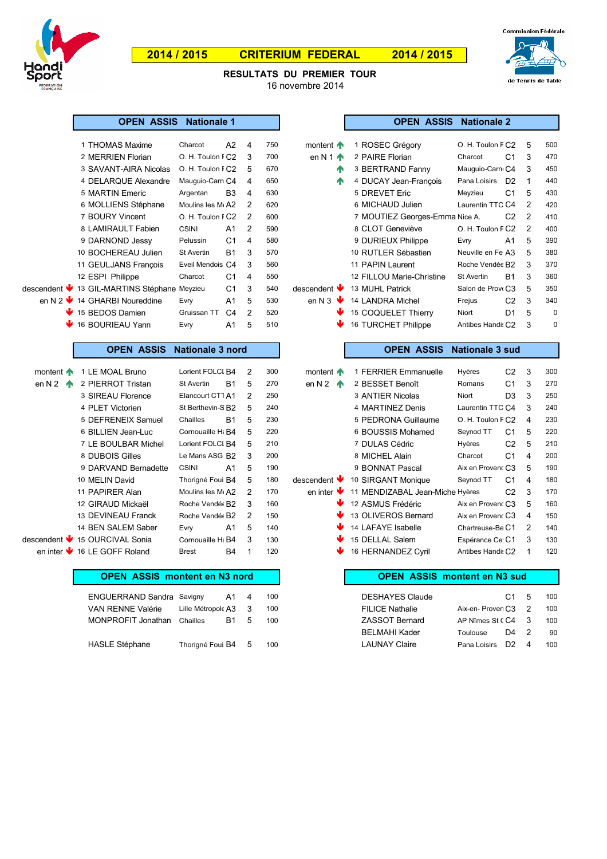

# **2014 / 2015 CRITERIUM FEDERAL 2014 / 2015**



16 novembre 2014 **RESULTATS DU PREMIER TOUR**

|                     | <b>OPEN ASSIS</b>                            | <b>Nationale 1</b>                        |                |                       |                                | <b>OPEN ASSIS</b>                   | <b>Nationale 2</b>             |                         |             |
|---------------------|----------------------------------------------|-------------------------------------------|----------------|-----------------------|--------------------------------|-------------------------------------|--------------------------------|-------------------------|-------------|
|                     | 1 THOMAS Maxime                              | Charcot                                   | A2             | 4<br>750              | montent $\bigwedge$            | 1 ROSEC Grégory                     | O. H. Toulon F C2              | 5                       | 500         |
|                     | 2 MERRIEN Florian                            | O. H. Toulon FC2                          |                | 3<br>700              | en N 1 $\spadesuit$            | 2 PAIRE Florian                     | C <sub>1</sub><br>Charcot      | 3                       | 470         |
|                     | 3 SAVANT-AIRA Nicolas                        | O. H. Toulon FC2                          |                | 5<br>670              | 个                              | 3 BERTRAND Fanny                    | Mauguio-Carn C4                | 3                       | 450         |
|                     | 4 DELARQUE Alexandre                         | Mauguio-Carn C4                           |                | 4<br>650              | ♠                              | 4 DUCAY Jean-François               | Pana Loisirs D2                | $\mathbf{1}$            | 440         |
|                     | 5 MARTIN Emeric                              | Argentan                                  | B <sub>3</sub> | 4<br>630              |                                | 5 DREVET Eric                       | C <sub>1</sub><br>Meyzieu      | 5                       | 430         |
|                     | 6 MOLLIENS Stéphane                          | Moulins les M <sub>k</sub> A <sub>2</sub> |                | $\overline{c}$<br>620 |                                | 6 MICHAUD Julien                    | Laurentin TTC C4               | $\overline{c}$          | 420         |
|                     | 7 BOURY Vincent                              | O. H. Toulon FC2                          |                | $\overline{2}$<br>600 |                                | 7 MOUTIEZ Georges-Emma Nice A.      | C <sub>2</sub>                 | $\overline{2}$          | 410         |
|                     | 8 LAMIRAULT Fabien                           | <b>CSINI</b>                              | A1             | $\overline{c}$<br>590 |                                | 8 CLOT Geneviève                    | O. H. Toulon F C2              | $\overline{2}$          | 400         |
|                     | 9 DARNOND Jessy                              | Pelussin                                  | C <sub>1</sub> | $\overline{4}$<br>580 |                                | 9 DURIEUX Philippe                  | A <sub>1</sub><br>Evry         | 5                       | 390         |
|                     | 10 BOCHEREAU Julien                          | <b>St Avertin</b>                         | <b>B1</b>      | 3<br>570              |                                | 10 RUTLER Sébastien                 | Neuville en Fe A3              | 5                       | 380         |
|                     | 11 GEULJANS François                         | Eveil Mendois C4                          |                | 3<br>560              |                                | 11 PAPIN Laurent                    | Roche Vendée B2                | 3                       | 370         |
|                     | 12 ESPI Philippe                             | Charcot                                   | C <sub>1</sub> | $\overline{4}$<br>550 |                                | 12 FILLOU Marie-Christine           | <b>St Avertin</b><br><b>B1</b> | 3                       | 360         |
|                     | descendent ↓ 13 GIL-MARTINS Stéphane Meyzieu |                                           | C <sub>1</sub> | 3<br>540              | descendent V                   | 13 MUHL Patrick                     | Salon de Prove C3              | 5                       | 350         |
|                     | en N 2 ↓ 14 GHARBI Noureddine                | Evry                                      | A <sub>1</sub> | 5<br>530              | en N 3 $\blacktriangleright$   | 14 LANDRA Michel                    | C <sub>2</sub><br>Frejus       | 3                       | 340         |
|                     | ↓ 15 BEDOS Damien                            | Gruissan TT                               | C <sub>4</sub> | $\overline{2}$<br>520 |                                | 15 COQUELET Thierry                 | Niort<br>D <sub>1</sub>        | 5                       | $\mathbf 0$ |
|                     | 16 BOURIEAU Yann                             | Evry                                      | A1             | 5<br>510              |                                | 16 TURCHET Philippe                 | Antibes Handis C2              | 3                       | 0           |
|                     |                                              |                                           |                |                       |                                |                                     |                                |                         |             |
|                     | <b>OPEN ASSIS</b>                            | Nationale 3 nord                          |                |                       |                                | <b>OPEN ASSIS</b>                   | <b>Nationale 3 sud</b>         |                         |             |
| montent $\bigwedge$ | 1 LE MOAL Bruno                              | Lorient FOLCI B4                          |                | $\overline{2}$<br>300 | montent $\bigwedge$            | 1 FERRIER Emmanuelle                | C <sub>2</sub><br>Hyères       | 3                       | 300         |
| en N 2 $\spadesuit$ | 2 PIERROT Tristan                            | <b>St Avertin</b>                         | <b>B1</b>      | 5<br>270              | en N 2 $\uparrow$              | 2 BESSET Benoît                     | C <sub>1</sub><br>Romans       | 3                       | 270         |
|                     | 3 SIREAU Florence                            | Elancourt CTT A1                          |                | $\overline{2}$<br>250 |                                | 3 ANTIER Nicolas                    | D <sub>3</sub><br>Niort        | 3                       | 250         |
|                     | 4 PLET Victorien                             | St Berthevin-S B2                         |                | 5<br>240              |                                | 4 MARTINEZ Denis                    | Laurentin TTC C4               | 3                       | 240         |
|                     | 5 DEFRENEIX Samuel                           | Chailles                                  | <b>B1</b>      | 5<br>230              |                                | 5 PEDRONA Guillaume                 | O. H. Toulon F C2              | $\overline{4}$          | 230         |
|                     | 6 BILLIEN Jean-Luc                           | Cornouaille H& B4                         |                | 5<br>220              |                                | 6 BOUSSIS Mohamed                   | C <sub>1</sub><br>Seynod TT    | 5                       | 220         |
|                     | 7 LE BOULBAR Michel                          | Lorient FOLCI B4                          |                | $\sqrt{5}$<br>210     |                                | 7 DULAS Cédric                      | C <sub>2</sub><br>Hyères       | 5                       | 210         |
|                     | 8 DUBOIS Gilles                              | Le Mans ASG B2                            |                | 3<br>200              |                                | 8 MICHEL Alain                      | C <sub>1</sub><br>Charcot      | $\overline{4}$          | 200         |
|                     | 9 DARVAND Bernadette                         | <b>CSINI</b>                              | A1             | 5<br>190              |                                | 9 BONNAT Pascal                     | Aix en Provenc C3              | 5                       | 190         |
|                     | 10 MELIN David                               | Thorigné Foui B4                          |                | 5<br>180              | descendent V                   | 10 SIRGANT Monique                  | C <sub>1</sub><br>Seynod TT    | $\overline{4}$          | 180         |
|                     | 11 PAPIRER Alan                              | Moulins les M <sub>k</sub> A <sub>2</sub> |                | $\overline{2}$<br>170 | en inter $\blacktriangleright$ | 11 MENDIZABAL Jean-Miche Hyères     | C <sub>2</sub>                 | 3                       | 170         |
|                     | 12 GIRAUD Mickaël                            | Roche Vendée B2                           |                | 3<br>160              |                                | 12 ASMUS Frédéric                   | Aix en Provenc C3              | 5                       | 160         |
|                     | 13 DEVINEAU Franck                           | Roche Vendé B2                            |                | $\overline{2}$<br>150 |                                | 13 OLIVEROS Bernard                 | Aix en Provenc C3              | $\overline{\mathbf{4}}$ | 150         |
|                     | 14 BEN SALEM Saber                           | Evry                                      | A1             | 5<br>140              |                                | 14 LAFAYE Isabelle                  | Chartreuse-Be C1               | 2                       | 140         |
|                     | descendent ↓ 15 OURCIVAL Sonia               | Cornouaille H <sub>i</sub> B4             |                | 3<br>130              |                                | 15 DELLAL Salem                     | Espérance Ce C1                | 3                       | 130         |
|                     | en inter ↓ 16 LE GOFF Roland                 | <b>Brest</b>                              | <b>B4</b>      | $\mathbf{1}$<br>120   |                                | 16 HERNANDEZ Cyril                  | Antibes Handis C2              | 1                       | 120         |
|                     |                                              |                                           |                |                       |                                |                                     |                                |                         |             |
|                     | <b>OPEN ASSIS montent en N3 nord</b>         |                                           |                |                       |                                | <b>OPEN ASSIS montent en N3 sud</b> |                                |                         |             |
|                     | <b>ENGUERRAND Sandra Savigny</b>             |                                           | A1             | 4<br>100              |                                | <b>DESHAYES Claude</b>              | C <sub>1</sub>                 | 5                       | 100         |
|                     | VAN RENNE Valérie                            | Lille Métropole A3                        |                | 3<br>100              |                                | <b>FILICE Nathalie</b>              | Aix-en-Proven C3               | $\overline{2}$          | 100         |
|                     | MONPROFIT Jonathan                           | Chailles                                  | <b>B1</b>      | 5<br>100              |                                | <b>ZASSOT Bernard</b>               | AP Nîmes St CC4                | 3                       | 100         |

| 1 THOMAS Maxime                   | Charcot                                   | A2             | 4             | 750 | montent <b>f</b>                 | 1 ROSEC Grégory                | O. H. Toulon F C2 |                | 5              | 500 |
|-----------------------------------|-------------------------------------------|----------------|---------------|-----|----------------------------------|--------------------------------|-------------------|----------------|----------------|-----|
| 2 MERRIEN Florian                 | O. H. Toulon FC2                          |                | 3             | 700 | en N 1 $\spadesuit$              | 2 PAIRE Florian                | Charcot           | C <sub>1</sub> | 3              | 470 |
| 3 SAVANT-AIRA Nicolas             | O. H. Toulon FC2                          |                | 5             | 670 | 小                                | 3 BERTRAND Fanny               | Mauguio-Carno C4  |                | 3              | 450 |
| 4 DELARQUE Alexandre              | Mauguio-Carn C4                           |                | 4             | 650 | 小                                | 4 DUCAY Jean-Francois          | Pana Loisirs      | D <sub>2</sub> |                | 440 |
| 5 MARTIN Emeric                   | Argentan                                  | B <sub>3</sub> | 4             | 630 |                                  | 5 DREVET Eric                  | Meyzieu           | C <sub>1</sub> | 5              | 430 |
| 6 MOLLIENS Stéphane               | Moulins les M <sub>k</sub> A <sub>2</sub> |                | $\mathcal{P}$ | 620 |                                  | 6 MICHAUD Julien               | Laurentin TTC C4  |                | $\overline{2}$ | 420 |
| 7 BOURY Vincent                   | O. H. Toulon FC2                          |                | $\mathcal{P}$ | 600 |                                  | 7 MOUTIEZ Georges-Emma Nice A. |                   | C <sub>2</sub> | 2              | 410 |
| 8 LAMIRAULT Fabien                | <b>CSINI</b>                              | A1             | 2             | 590 |                                  | 8 CLOT Geneviève               | O. H. Toulon F C2 |                | 2              | 400 |
| 9 DARNOND Jessy                   | Pelussin                                  | C <sub>1</sub> | 4             | 580 |                                  | 9 DURIEUX Philippe             | Evry              | A <sub>1</sub> | 5              | 390 |
| 10 BOCHEREAU Julien               | St Avertin                                | <b>B1</b>      | 3             | 570 |                                  | 10 RUTLER Sébastien            | Neuville en Fe A3 |                | 5              | 380 |
| 11 GEULJANS François              | Eveil Mendois C4                          |                | 3             | 560 |                                  | 11 PAPIN Laurent               | Roche Vendée B2   |                | 3              | 370 |
| 12 ESPI Philippe                  | Charcot                                   | C <sub>1</sub> | 4             | 550 |                                  | 12 FILLOU Marie-Christine      | St Avertin        | <b>B1</b>      | 3              | 360 |
| ↓ 13 GIL-MARTINS Stéphane Meyzieu |                                           | C <sub>1</sub> | 3             | 540 | descendent $\blacktriangleright$ | 13 MUHL Patrick                | Salon de Prove C3 |                | 5              | 350 |
| 14 GHARBI Noureddine              | Evry                                      | A1             | 5             | 530 | en N 3 $\mathbf{\Psi}$           | 14 LANDRA Michel               | Frejus            | C <sub>2</sub> | 3              | 340 |
| 15 BEDOS Damien                   | Gruissan TT                               | C <sub>4</sub> | $\mathcal{P}$ | 520 |                                  | 15 COQUELET Thierry            | Niort             | D <sub>1</sub> | 5              | 0   |
| 16 BOURIEAU Yann                  | Evry                                      | A1             | 5             | 510 |                                  | 16 TURCHET Philippe            | Antibes Handis C2 |                | 3              | 0   |

**OPEN ASSIS Nationale 2** 

### **OPEN ASSIS Nationale 3 sud**

| 1 LE MOAL Bruno      | Lorient FOLCI B4                          |                | 2             | 300 | montent $\bigwedge$              | 1 FERRIER Emmanuelle            | Hyères            | C <sub>2</sub> | 3 | 300 |
|----------------------|-------------------------------------------|----------------|---------------|-----|----------------------------------|---------------------------------|-------------------|----------------|---|-----|
| 2 PIERROT Tristan    | <b>St Avertin</b>                         | <b>B1</b>      | 5             | 270 | en N 2 $\uparrow$                | 2 BESSET Benoît                 | Romans            | C <sub>1</sub> | 3 | 270 |
| 3 SIREAU Florence    | Elancourt CTT A1                          |                | 2             | 250 |                                  | 3 ANTIER Nicolas                | Niort             | D3             | 3 | 250 |
| 4 PLET Victorien     | St Berthevin-S B2                         |                | 5             | 240 |                                  | 4 MARTINEZ Denis                | Laurentin TTC C4  |                | 3 | 240 |
| 5 DEFRENEIX Samuel   | Chailles                                  | <b>B1</b>      | 5             | 230 |                                  | 5 PEDRONA Guillaume             | O. H. Toulon F C2 |                | 4 | 230 |
| 6 BILLIEN Jean-Luc   | Cornouaille H <sub>i</sub> R4             |                | 5             | 220 |                                  | 6 BOUSSIS Mohamed               | Seynod TT         | C1             | 5 | 220 |
| 7 LE BOULBAR Michel  | Lorient FOLCI B4                          |                | 5             | 210 |                                  | 7 DULAS Cédric                  | Hyères            | C <sub>2</sub> | 5 | 210 |
| 8 DUBOIS Gilles      | Le Mans ASG B2                            |                | 3             | 200 |                                  | 8 MICHEL Alain                  | Charcot           | C <sub>1</sub> | 4 | 200 |
| 9 DARVAND Bernadette | <b>CSINI</b>                              | A <sub>1</sub> | 5             | 190 |                                  | 9 BONNAT Pascal                 | Aix en Provenc C3 |                | 5 | 190 |
| 10 MELIN David       | Thorigné Fouil B4                         |                | 5             | 180 | descendent $\blacktriangleright$ | 10 SIRGANT Monique              | Seynod TT         | C <sub>1</sub> | 4 | 180 |
| 11 PAPIRER Alan      | Moulins les M <sub>k</sub> A <sub>2</sub> |                | 2             | 170 | en inter $\Psi$                  | 11 MENDIZABAL Jean-Miche Hyères |                   | C <sub>2</sub> | 3 | 170 |
| 12 GIRAUD Mickaël    | Roche Vendée B2                           |                | 3             | 160 | Ψ                                | 12 ASMUS Frédéric               | Aix en Provenc C3 |                | 5 | 160 |
| 13 DEVINEAU Franck   | Roche Vendée B <sub>2</sub>               |                | $\mathcal{P}$ | 150 | ₩                                | 13 OLIVEROS Bernard             | Aix en Provenc C3 |                | 4 | 150 |
| 14 BEN SALEM Saber   | Evry                                      | A1             | 5             | 140 | Ψ                                | 14 LAFAYE Isabelle              | Chartreuse-Be C1  |                | 2 | 140 |
| 15 OURCIVAL Sonia    | Cornouaille H <sub>i</sub> B4             |                | 3             | 130 | w                                | 15 DELLAL Salem                 | Espérance Ce C1   |                | 3 | 130 |
| 16 LE GOFF Roland    | <b>Brest</b>                              | <b>B4</b>      | 1             | 120 | Ψ                                | 16 HERNANDEZ Cvril              | Antibes Handis C2 |                |   | 120 |

# **OPEN ASSIS montent en N3 sud**

| <b>ENGUERRAND Sandra Savigny</b> |                    | A1 4 |     | 100 | <b>DESHAYES Claude</b> |                    | C1. | - 5          | 100 |
|----------------------------------|--------------------|------|-----|-----|------------------------|--------------------|-----|--------------|-----|
| VAN RENNE Valérie                | Lille Métropole A3 |      | - 3 | 100 | <b>FILICE Nathalie</b> | Aix-en-Proven C3 2 |     |              | 100 |
| MONPROFIT Jonathan               | Chailles           | B1.  | - 5 | 100 | <b>ZASSOT Bernard</b>  | AP Nîmes St CC4    |     | $\mathbf{R}$ | 100 |
|                                  |                    |      |     |     | <b>BELMAHI Kader</b>   | Toulouse           | D4  | - 2          | 90  |
| <b>HASLE Stéphane</b>            | Thorigné Foui B4 5 |      |     | 100 | <b>LAUNAY Claire</b>   | Pana Loisirs       | D2. |              | 100 |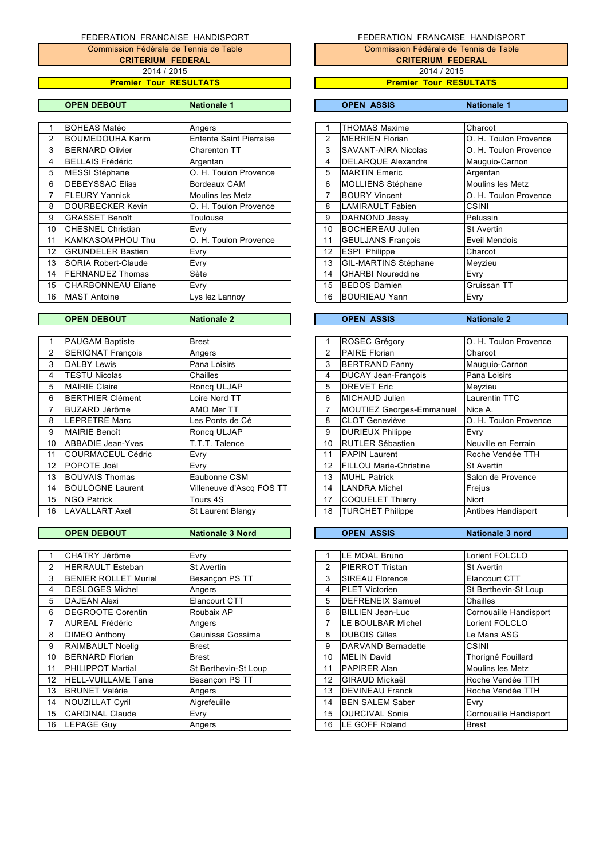**CRITERIUM FEDERAL** Commission Fédérale de Tennis de Table 2014 / 2015

### **Premier Tour RESULTATS**

|  | <b>Nationa</b> |  |
|--|----------------|--|

|               | <b>BOHEAS Matéo</b>       | Angers                         |                | <b>THOMAS Maxime</b>       | Charcot               |
|---------------|---------------------------|--------------------------------|----------------|----------------------------|-----------------------|
| $\mathcal{P}$ | <b>BOUMEDOUHA Karim</b>   | <b>Entente Saint Pierraise</b> | $\overline{2}$ | <b>MERRIEN Florian</b>     | O. H. Toulon Provence |
| 3             | <b>BERNARD Olivier</b>    | Charenton TT                   | 3              | <b>SAVANT-AIRA Nicolas</b> | O. H. Toulon Provence |
| 4             | BELLAIS Frédéric          | Argentan                       | 4              | <b>DELARQUE Alexandre</b>  | Mauguio-Carnon        |
| 5             | MESSI Stéphane            | O. H. Toulon Provence          | 5              | <b>MARTIN</b> Emeric       | Argentan              |
| 6             | <b>IDEBEYSSAC Elias</b>   | Bordeaux CAM                   | 6              | MOLLIENS Stéphane          | Moulins les Metz      |
| 7             | <b>FLEURY Yannick</b>     | <b>Moulins les Metz</b>        | 7              | <b>BOURY Vincent</b>       | O. H. Toulon Provence |
| 8             | DOURBECKER Kevin          | O. H. Toulon Provence          | 8              | <b>LAMIRAULT Fabien</b>    | <b>CSINI</b>          |
| 9             | <b>GRASSET Benoît</b>     | Toulouse                       | 9              | <b>DARNOND Jessy</b>       | Pelussin              |
| 10            | <b>CHESNEL Christian</b>  | Evry                           | 10             | <b>BOCHEREAU Julien</b>    | <b>St Avertin</b>     |
| 11            | <b>KAMKASOMPHOU Thu</b>   | O. H. Toulon Provence          | 11             | <b>GEULJANS François</b>   | Eveil Mendois         |
| 12            | <b>GRUNDELER Bastien</b>  | Evry                           | 12             | <b>ESPI Philippe</b>       | Charcot               |
| 13            | SORIA Robert-Claude       | Evry                           | 13             | GIL-MARTINS Stéphane       | Meyzieu               |
| 14            | <b>FERNANDEZ Thomas</b>   | Sète                           | 14             | <b>GHARBI Noureddine</b>   | Evry                  |
| 15            | <b>CHARBONNEAU Eliane</b> | Evry                           | 15             | <b>BEDOS Damien</b>        | Gruissan TT           |
| 16            | <b>MAST Antoine</b>       | Lys lez Lannoy                 | 16             | <b>BOURIEAU Yann</b>       | Evry                  |
|               |                           |                                |                |                            |                       |

|    | <b>PAUGAM Baptiste</b>   | Brest                    |    | <b>ROSEC Grégory</b>            | O. H. Toulon Provence |
|----|--------------------------|--------------------------|----|---------------------------------|-----------------------|
| 2  | <b>SERIGNAT François</b> | Angers                   | 2  | <b>PAIRE Florian</b>            | Charcot               |
| 3  | <b>DALBY Lewis</b>       | Pana Loisirs             | 3  | <b>BERTRAND Fanny</b>           | Mauguio-Carnon        |
| 4  | <b>TESTU Nicolas</b>     | Chailles                 | 4  | <b>DUCAY Jean-Francois</b>      | Pana Loisirs          |
| 5  | <b>MAIRIE Claire</b>     | Roncg ULJAP              | 5  | <b>DREVET Eric</b>              | Meyzieu               |
| 6  | <b>BERTHIER Clément</b>  | Loire Nord TT            | 6  | MICHAUD Julien                  | Laurentin TTC         |
| 7  | BUZARD Jérôme            | AMO Mer TT               | 7  | <b>MOUTIEZ Georges-Emmanuel</b> | Nice A.               |
| 8  | <b>LEPRETRE Marc</b>     | Les Ponts de Cé          | 8  | <b>CLOT Geneviève</b>           | O. H. Toulon Provence |
| 9  | <b>MAIRIE Benoît</b>     | Roncg ULJAP              | 9  | <b>DURIEUX Philippe</b>         | Evry                  |
| 10 | ABBADIE Jean-Yves        | T.T.T. Talence           | 10 | <b>RUTLER Sébastien</b>         | Neuville en Ferrain   |
| 11 | COURMACEUL Cédric        | Evry                     | 11 | <b>PAPIN Laurent</b>            | Roche Vendée TTH      |
| 12 | POPOTE Joël              | Evry                     | 12 | <b>FILLOU Marie-Christine</b>   | <b>St Avertin</b>     |
| 13 | <b>BOUVAIS Thomas</b>    | Eaubonne CSM             | 13 | <b>MUHL Patrick</b>             | Salon de Provence     |
| 14 | <b>BOULOGNE Laurent</b>  | Villeneuve d'Ascq FOS TT | 14 | LANDRA Michel                   | Frejus                |
| 15 | <b>NGO Patrick</b>       | Tours 4S                 | 17 | <b>COQUELET Thierry</b>         | Niort                 |
| 16 | LAVALLART Axel           | St Laurent Blangy        | 18 | <b>TURCHET Philippe</b>         | Antibes Handisport    |
|    |                          |                          |    |                                 |                       |

|    | CHATRY Jérôme               | Evry                 |    | LE MOAL Bruno           | Lorient FOLCLO         |
|----|-----------------------------|----------------------|----|-------------------------|------------------------|
| 2  | <b>HERRAULT Esteban</b>     | <b>St Avertin</b>    | 2  | <b>PIERROT Tristan</b>  | <b>St Avertin</b>      |
| 3  | <b>BENIER ROLLET Muriel</b> | Besançon PS TT       | 3  | <b>SIREAU Florence</b>  | Elancourt CTT          |
| 4  | <b>DESLOGES Michel</b>      | Angers               | 4  | <b>PLET Victorien</b>   | St Berthevin-St Loup   |
| 5  | <b>DAJEAN Alexi</b>         | Elancourt CTT        | 5  | <b>DEFRENEIX Samuel</b> | Chailles               |
| 6  | <b>DEGROOTE Corentin</b>    | Roubaix AP           | 6  | <b>BILLIEN Jean-Luc</b> | Cornouaille Handisport |
|    | <b>AUREAL Frédéric</b>      | Angers               | 7  | LE BOULBAR Michel       | Lorient FOLCLO         |
| 8  | <b>DIMEO Anthony</b>        | Gaunissa Gossima     | 8  | <b>DUBOIS Gilles</b>    | Le Mans ASG            |
| 9  | <b>RAIMBAULT Noelig</b>     | <b>Brest</b>         | 9  | DARVAND Bernadette      | <b>CSINI</b>           |
| 10 | <b>BERNARD Florian</b>      | <b>Brest</b>         | 10 | <b>MELIN David</b>      | Thorigné Fouillard     |
| 11 | <b>PHILIPPOT Martial</b>    | St Berthevin-St Loup | 11 | <b>PAPIRER Alan</b>     | Moulins les Metz       |
| 12 | <b>HELL-VUILLAME Tania</b>  | Besançon PS TT       | 12 | <b>GIRAUD Mickaël</b>   | Roche Vendée TTH       |
| 13 | <b>BRUNET Valérie</b>       | Angers               | 13 | <b>DEVINEAU Franck</b>  | Roche Vendée TTH       |
| 14 | NOUZILLAT Cyril             | Aigrefeuille         | 14 | <b>BEN SALEM Saber</b>  | Evry                   |
| 15 | <b>CARDINAL Claude</b>      | Evry                 | 15 | <b>OURCIVAL Sonia</b>   | Cornouaille Handisport |
| 16 | <b>LEPAGE Guy</b>           | Angers               | 16 | LE GOFF Roland          | <b>Brest</b>           |

# FEDERATION FRANCAISE HANDISPORT

Commission Fédérale de Tennis de Table

**CRITERIUM FEDERAL** 2014 / 2015

**Premier Tour RESULTATS**

### **OPEN DEBOUT Nationale 1 OPEN ASSIS Nationale 1**

| 1  | <b>THOMAS Maxime</b>      | Charcot                 |
|----|---------------------------|-------------------------|
| 2  | <b>MERRIEN Florian</b>    | O. H. Toulon Provence   |
| 3  | SAVANT-AIRA Nicolas       | O. H. Toulon Provence   |
| 4  | <b>DELARQUE Alexandre</b> | Mauguio-Carnon          |
| 5  | <b>MARTIN Emeric</b>      | Argentan                |
| 6  | <b>MOLLIENS Stéphane</b>  | <b>Moulins les Metz</b> |
| 7  | <b>BOURY Vincent</b>      | O. H. Toulon Provence   |
| 8  | <b>LAMIRAULT Fabien</b>   | <b>CSINI</b>            |
| 9  | <b>DARNOND Jessy</b>      | Pelussin                |
| 10 | <b>BOCHEREAU Julien</b>   | <b>St Avertin</b>       |
| 11 | <b>GEULJANS Francois</b>  | Eveil Mendois           |
| 12 | <b>ESPI Philippe</b>      | Charcot                 |
| 13 | GIL-MARTINS Stéphane      | Meyzieu                 |
| 14 | <b>GHARBI Noureddine</b>  | Evry                    |
| 15 | <b>BEDOS Damien</b>       | Gruissan TT             |
| 16 | <b>BOURIEAU Yann</b>      | Evry                    |
|    |                           |                         |

# **OPEN DEBOUT Nationale 2 OPEN ASSIS Nationale 2**

| 1               | <b>ROSEC Grégory</b>            | O. H. Toulon Provence |
|-----------------|---------------------------------|-----------------------|
| 2               | <b>PAIRE Florian</b>            | Charcot               |
| 3               | <b>BERTRAND Fanny</b>           | Mauguio-Carnon        |
| 4               | <b>DUCAY Jean-Francois</b>      | Pana Loisirs          |
| 5               | <b>DREVET Eric</b>              | Meyzieu               |
| 6               | <b>MICHAUD Julien</b>           | Laurentin TTC         |
| 7               | <b>MOUTIEZ Georges-Emmanuel</b> | Nice A.               |
| 8               | <b>CLOT Geneviève</b>           | O. H. Toulon Provence |
| 9               | <b>DURIEUX Philippe</b>         | Evry                  |
| 10              | RUTLER Sébastien                | Neuville en Ferrain   |
| 11              | <b>PAPIN Laurent</b>            | Roche Vendée TTH      |
| 12 <sup>2</sup> | FILLOU Marie-Christine          | <b>St Avertin</b>     |
| 13              | <b>MUHL Patrick</b>             | Salon de Provence     |
| 14              | <b>LANDRA Michel</b>            | Frejus                |
| 17              | <b>COQUELET Thierry</b>         | <b>Niort</b>          |
| 18              | <b>TURCHET Philippe</b>         | Antibes Handisport    |
|                 |                                 |                       |

# **OPEN DEBOUT Nationale 3 Nord OPEN ASSIS Nationale 3 nord**

| 1  | LE MOAL Bruno           | Lorient FOLCLO         |
|----|-------------------------|------------------------|
| 2  | PIERROT Tristan         | <b>St Avertin</b>      |
| 3  | <b>SIREAU Florence</b>  | Elancourt CTT          |
| 4  | <b>PLET Victorien</b>   | St Berthevin-St Loup   |
| 5  | <b>DEFRENEIX Samuel</b> | Chailles               |
| 6  | <b>BILLIEN Jean-Luc</b> | Cornouaille Handisport |
| 7  | LE BOULBAR Michel       | Lorient FOLCLO         |
| 8  | <b>DUBOIS Gilles</b>    | Le Mans ASG            |
| 9  | DARVAND Bernadette      | CSINI                  |
| 10 | <b>MELIN David</b>      | Thorigné Fouillard     |
| 11 | <b>PAPIRER Alan</b>     | Moulins les Metz       |
| 12 | <b>GIRAUD Mickaël</b>   | Roche Vendée TTH       |
| 13 | <b>DEVINEAU Franck</b>  | Roche Vendée TTH       |
| 14 | <b>BEN SALEM Saber</b>  | Evry                   |
| 15 | <b>OURCIVAL Sonia</b>   | Cornouaille Handisport |
| 16 | LE GOFF Roland          | Brest                  |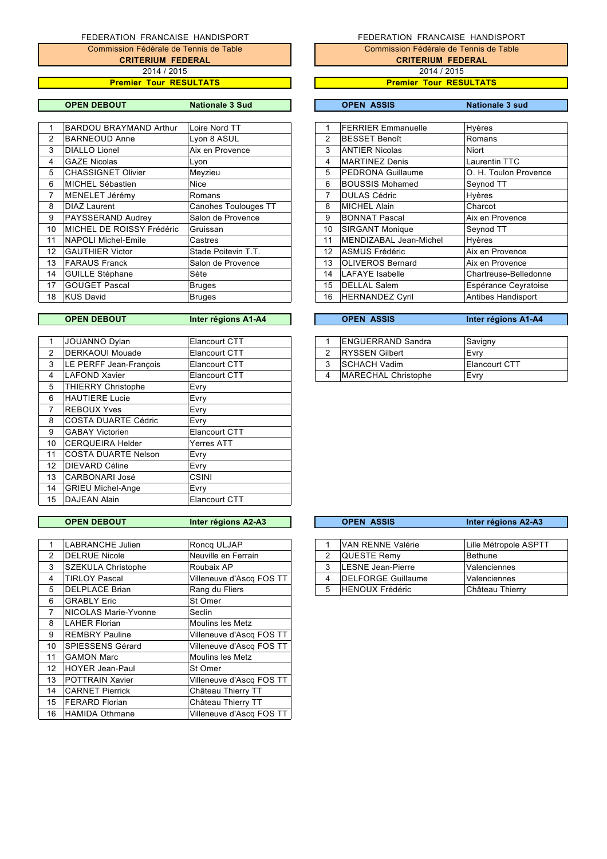**CRITERIUM FEDERAL Premier Tour RESULTATS** Commission Fédérale de Tennis de Table 2014 / 2015

|    | <b>BARDOU BRAYMAND Arthur</b> | Loire Nord TT        |                | <b>FERRIER Emmanuelle</b> | <b>Hyères</b>         |
|----|-------------------------------|----------------------|----------------|---------------------------|-----------------------|
| 2  | <b>BARNEOUD Anne</b>          | Lyon 8 ASUL          | 2              | <b>BESSET Benoît</b>      | Romans                |
| 3  | <b>DIALLO Lionel</b>          | Aix en Provence      | 3              | <b>ANTIER Nicolas</b>     | <b>Niort</b>          |
| 4  | <b>GAZE Nicolas</b>           | Lyon                 | 4              | <b>MARTINEZ Denis</b>     | Laurentin TTC         |
| 5  | <b>CHASSIGNET Olivier</b>     | Meyzieu              | 5              | <b>PEDRONA Guillaume</b>  | O. H. Toulon Provence |
| 6  | MICHEL Sébastien              | Nice                 | 6              | <b>BOUSSIS Mohamed</b>    | Seynod TT             |
|    | MENELET Jérémy                | Romans               | $\overline{7}$ | <b>DULAS Cédric</b>       | Hyères                |
| 8  | <b>DIAZ Laurent</b>           | Canohes Toulouges TT | 8              | <b>MICHEL Alain</b>       | Charcot               |
| 9  | PAYSSERAND Audrey             | Salon de Provence    | 9              | <b>BONNAT Pascal</b>      | Aix en Provence       |
| 10 | MICHEL DE ROISSY Frédéric     | Gruissan             | 10             | <b>SIRGANT Monique</b>    | Seynod TT             |
| 11 | NAPOLI Michel-Emile           | Castres              | 11             | MENDIZABAL Jean-Michel    | <b>Hyères</b>         |
| 12 | <b>GAUTHIER Victor</b>        | Stade Poitevin T.T.  | 12             | <b>ASMUS Frédéric</b>     | Aix en Provence       |
| 13 | <b>FARAUS Franck</b>          | Salon de Provence    | 13             | <b>OLIVEROS Bernard</b>   | Aix en Provence       |
| 14 | <b>GUILLE Stéphane</b>        | Sète                 | 14             | LAFAYE Isabelle           | Chartreuse-Belledonne |
| 17 | <b>GOUGET Pascal</b>          | <b>Bruges</b>        | 15             | <b>DELLAL Salem</b>       | Espérance Ceyratoise  |
| 18 | <b>KUS David</b>              | <b>Bruges</b>        | 16             | <b>HERNANDEZ Cyril</b>    | Antibes Handisport    |
|    |                               |                      |                |                           |                       |

|                | JOUANNO Dylan              | Elancourt CTT |   | <b>ENGUERRAND Sandra</b> | Savigny              |
|----------------|----------------------------|---------------|---|--------------------------|----------------------|
| $\overline{2}$ | <b>DERKAOUI Mouade</b>     | Elancourt CTT | 2 | <b>RYSSEN Gilbert</b>    | Evry                 |
| 3              | LE PERFF Jean-Francois     | Elancourt CTT | 3 | <b>ISCHACH Vadim</b>     | <b>Elancourt CTT</b> |
| 4              | LAFOND Xavier              | Elancourt CTT | 4 | MARECHAL Christophe      | Evry                 |
| 5              | <b>THIERRY Christophe</b>  | Evry          |   |                          |                      |
| 6              | HAUTIERE Lucie             | Evry          |   |                          |                      |
| 7              | <b>REBOUX Yves</b>         | <b>Evry</b>   |   |                          |                      |
| 8              | COSTA DUARTE Cédric        | Evry          |   |                          |                      |
| 9              | <b>GABAY Victorien</b>     | Elancourt CTT |   |                          |                      |
| 10             | ICERQUEIRA Helder          | Yerres ATT    |   |                          |                      |
| 11             | <b>COSTA DUARTE Nelson</b> | Evry          |   |                          |                      |
| 12             | <b>IDIEVARD Céline</b>     | Evry          |   |                          |                      |
| 13             | CARBONARI José             | <b>CSINI</b>  |   |                          |                      |
| 14             | <b>GRIEU Michel-Ange</b>   | Evry          |   |                          |                      |
| 15             | DAJEAN Alain               | Elancourt CTT |   |                          |                      |

|                 | <b>OPEN DEBOUT</b>          | Inter régions A2-A3      |   | <b>OPEN ASSIS</b>         | Inter régions A2-A3   |
|-----------------|-----------------------------|--------------------------|---|---------------------------|-----------------------|
|                 |                             |                          |   |                           |                       |
|                 | LABRANCHE Julien            | Roncg ULJAP              |   | VAN RENNE Valérie         | Lille Métropole ASPTT |
| $\mathbf{2}$    | <b>IDELRUE Nicole</b>       | Neuville en Ferrain      | 2 | <b>QUESTE Remy</b>        | <b>Bethune</b>        |
| 3               | SZEKULA Christophe          | Roubaix AP               | 3 | <b>LESNE Jean-Pierre</b>  | Valenciennes          |
| 4               | <b>TIRLOY Pascal</b>        | Villeneuve d'Ascq FOS TT | 4 | <b>DELFORGE Guillaume</b> | Valenciennes          |
| 5               | <b>IDELPLACE Brian</b>      | Rang du Fliers           | 5 | <b>HENOUX Frédéric</b>    | Château Thierry       |
| 6               | <b>GRABLY Eric</b>          | St Omer                  |   |                           |                       |
|                 | <b>NICOLAS Marie-Yvonne</b> | Seclin                   |   |                           |                       |
| 8               | LAHER Florian               | <b>Moulins les Metz</b>  |   |                           |                       |
| 9               | <b>REMBRY Pauline</b>       | Villeneuve d'Ascq FOS TT |   |                           |                       |
| 10              | <b>SPIESSENS Gérard</b>     | Villeneuve d'Asca FOS TT |   |                           |                       |
| 11              | <b>GAMON Marc</b>           | Moulins les Metz         |   |                           |                       |
| 12 <sup>°</sup> | <b>HOYER Jean-Paul</b>      | St Omer                  |   |                           |                       |
| 13              | <b>POTTRAIN Xavier</b>      | Villeneuve d'Ascq FOS TT |   |                           |                       |
| 14              | <b>CARNET Pierrick</b>      | Château Thierry TT       |   |                           |                       |
| 15              | <b>IFERARD Florian</b>      | Château Thierry TT       |   |                           |                       |
| 16              | <b>HAMIDA Othmane</b>       | Villeneuve d'Ascq FOS TT |   |                           |                       |

### FEDERATION FRANCAISE HANDISPORT Commission Fédérale de Tennis de Table **CRITERIUM FEDERAL** 2014 / 2015

**Premier Tour RESULTATS**

# **OPEN DEBOUT Nationale 3 Sud OPEN ASSIS Nationale 3 sud**

| <b>FERRIER Emmanuelle</b><br>Hyères<br>1<br>2<br><b>BESSET Benoît</b><br>Romans<br>3<br><b>ANTIER Nicolas</b><br>Niort<br><b>MARTINEZ Denis</b><br>Laurentin TTC<br>4<br><b>PEDRONA Guillaume</b><br>5<br>O. H. Toulon Provence<br>6<br><b>BOUSSIS Mohamed</b><br>Seynod TT<br>7<br><b>DULAS Cédric</b><br>Hyères |   |                     |         |
|-------------------------------------------------------------------------------------------------------------------------------------------------------------------------------------------------------------------------------------------------------------------------------------------------------------------|---|---------------------|---------|
|                                                                                                                                                                                                                                                                                                                   |   |                     |         |
|                                                                                                                                                                                                                                                                                                                   |   |                     |         |
|                                                                                                                                                                                                                                                                                                                   |   |                     |         |
|                                                                                                                                                                                                                                                                                                                   |   |                     |         |
|                                                                                                                                                                                                                                                                                                                   |   |                     |         |
|                                                                                                                                                                                                                                                                                                                   |   |                     |         |
|                                                                                                                                                                                                                                                                                                                   |   |                     |         |
|                                                                                                                                                                                                                                                                                                                   | 8 | <b>MICHEL Alain</b> | Charcot |
| <b>BONNAT Pascal</b><br>Aix en Provence<br>9                                                                                                                                                                                                                                                                      |   |                     |         |
| 10<br><b>SIRGANT Monique</b><br>Seynod TT                                                                                                                                                                                                                                                                         |   |                     |         |
| 11<br>MENDIZABAL Jean-Michel<br>Hyères                                                                                                                                                                                                                                                                            |   |                     |         |
| 12 <sup>2</sup><br>ASMUS Frédéric<br>Aix en Provence                                                                                                                                                                                                                                                              |   |                     |         |
| 13<br><b>OLIVEROS Bernard</b><br>Aix en Provence                                                                                                                                                                                                                                                                  |   |                     |         |
| 14<br><b>LAFAYE Isabelle</b><br>Chartreuse-Belledonne                                                                                                                                                                                                                                                             |   |                     |         |
| 15<br><b>DELLAL Salem</b><br>Espérance Ceyratoise                                                                                                                                                                                                                                                                 |   |                     |         |
| 16<br><b>HERNANDEZ Cyril</b><br>Antibes Handisport                                                                                                                                                                                                                                                                |   |                     |         |

**OPEN DEBOUT Inter régions A1-A4 OPEN ASSIS Inter régions A1-A4**

|   | <b>ENGUERRAND Sandra</b> | Savigny       |
|---|--------------------------|---------------|
|   | <b>IRYSSEN Gilbert</b>   | Evry          |
| ີ | <b>ISCHACH Vadim</b>     | Elancourt CTT |
|   | MARECHAL Christophe      | Evrv          |

| <b>OPEN DEBOUT</b> | Inter régions A2-A3      |  |  | <b>OPEN ASSIS</b>          | Inter régions A2-A3    |  |
|--------------------|--------------------------|--|--|----------------------------|------------------------|--|
|                    |                          |  |  |                            |                        |  |
| LABRANCHE Julien   | Roncg ULJAP              |  |  | VAN RENNE Valérie          | Lille Métropole ASPTT  |  |
| DELRUE Nicole      | Neuville en Ferrain      |  |  | QUESTE Remy                | Bethune                |  |
| SZEKULA Christophe | Roubaix AP               |  |  | <b>LESNE Jean-Pierre</b>   | Valenciennes           |  |
| TIRLOY Pascal      | Villeneuve d'Ascq FOS TT |  |  | <b>IDELFORGE Guillaume</b> | Valenciennes           |  |
| DELPLACE Brian     | Rang du Fliers           |  |  | <b>HENOUX Frédéric</b>     | <b>Château Thierry</b> |  |
|                    |                          |  |  |                            |                        |  |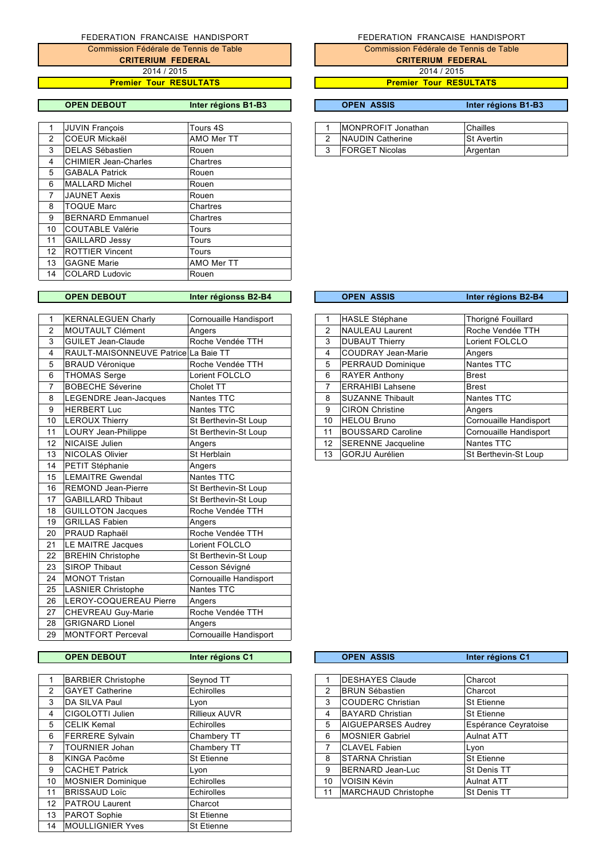**CRITERIUM FEDERAL** Commission Fédérale de Tennis de Table 2014 / 2015

**Premier Tour RESULTATS**

**OPEN DEBOUT Inter régions B1-B3 OPEN ASSIS Inter régions B1-B3**

|    | JUVIN Francois          | Tours 4S   |   | MONPROFIT Jonathan    | <b>Chailles</b>   |
|----|-------------------------|------------|---|-----------------------|-------------------|
| 2  | <b>COEUR Mickaël</b>    | AMO Mer TT | 2 | NAUDIN Catherine      | <b>St Avertin</b> |
| 3  | <b>IDELAS Sébastien</b> | Rouen      | 3 | <b>FORGET Nicolas</b> | Argentan          |
| 4  | CHIMIER Jean-Charles    | Chartres   |   |                       |                   |
| 5  | <b>GABALA Patrick</b>   | Rouen      |   |                       |                   |
| 6  | MALLARD Michel          | Rouen      |   |                       |                   |
| 7  | <b>JAUNET Aexis</b>     | Rouen      |   |                       |                   |
| 8  | <b>TOQUE Marc</b>       | Chartres   |   |                       |                   |
| 9  | <b>BERNARD Emmanuel</b> | Chartres   |   |                       |                   |
| 10 | COUTABLE Valérie        | Tours      |   |                       |                   |
| 11 | <b>GAILLARD Jessy</b>   | Tours      |   |                       |                   |
| 12 | <b>ROTTIER Vincent</b>  | Tours      |   |                       |                   |
| 13 | <b>GAGNE Marie</b>      | AMO Mer TT |   |                       |                   |
| 14 | <b>COLARD Ludovic</b>   | Rouen      |   |                       |                   |
|    |                         |            |   |                       |                   |

### **OPEN DEBOUT Inter régionss B2-B4**

| 1  | <b>KERNALEGUEN Charly</b>            | Cornouaille Handisport | 1  | HASLE Stéphane            | Thorigné Fouillard     |
|----|--------------------------------------|------------------------|----|---------------------------|------------------------|
| 2  | <b>MOUTAULT Clément</b>              | Angers                 | 2  | <b>NAULEAU Laurent</b>    | Roche Vendée TTH       |
| 3  | <b>GUILET Jean-Claude</b>            | Roche Vendée TTH       | 3  | <b>DUBAUT Thierry</b>     | Lorient FOLCLO         |
| 4  | RAULT-MAISONNEUVE Patrice La Baie TT |                        | 4  | <b>COUDRAY Jean-Marie</b> | Angers                 |
| 5  | <b>BRAUD Véronique</b>               | Roche Vendée TTH       | 5  | PERRAUD Dominique         | Nantes TTC             |
| 6  | <b>THOMAS Serge</b>                  | Lorient FOLCLO         | 6  | <b>RAYER Anthony</b>      | <b>Brest</b>           |
| 7  | <b>BOBECHE Séverine</b>              | Cholet TT              | 7  | <b>ERRAHIBI Lahsene</b>   | <b>Brest</b>           |
| 8  | LEGENDRE Jean-Jacques                | Nantes TTC             | 8  | <b>SUZANNE Thibault</b>   | Nantes TTC             |
| 9  | <b>HERBERT Luc</b>                   | Nantes TTC             | 9  | <b>CIRON Christine</b>    | Angers                 |
| 10 | <b>LEROUX Thierry</b>                | St Berthevin-St Loup   | 10 | <b>HELOU Bruno</b>        | Cornouaille Handisport |
| 11 | <b>LOURY Jean-Philippe</b>           | St Berthevin-St Loup   | 11 | <b>BOUSSARD Caroline</b>  | Cornouaille Handisport |
| 12 | <b>NICAISE Julien</b>                | Angers                 | 12 | <b>SERENNE Jacqueline</b> | Nantes TTC             |
| 13 | <b>NICOLAS Olivier</b>               | St Herblain            | 13 | <b>GORJU Aurélien</b>     | St Berthevin-St Loup   |
| 14 | PETIT Stéphanie                      | Angers                 |    |                           |                        |
| 15 | <b>LEMAITRE Gwendal</b>              | Nantes TTC             |    |                           |                        |
| 16 | <b>REMOND Jean-Pierre</b>            | St Berthevin-St Loup   |    |                           |                        |
| 17 | <b>GABILLARD Thibaut</b>             | St Berthevin-St Loup   |    |                           |                        |
| 18 | <b>GUILLOTON Jacques</b>             | Roche Vendée TTH       |    |                           |                        |
| 19 | <b>GRILLAS Fabien</b>                | Angers                 |    |                           |                        |
| 20 | <b>PRAUD Raphaël</b>                 | Roche Vendée TTH       |    |                           |                        |
| 21 | LE MAITRE Jacques                    | Lorient FOLCLO         |    |                           |                        |
| 22 | <b>BREHIN Christophe</b>             | St Berthevin-St Loup   |    |                           |                        |
| 23 | <b>SIROP Thibaut</b>                 | Cesson Sévigné         |    |                           |                        |
| 24 | <b>MONOT Tristan</b>                 | Cornouaille Handisport |    |                           |                        |
| 25 | <b>LASNIER Christophe</b>            | Nantes TTC             |    |                           |                        |
| 26 | LEROY-COQUEREAU Pierre               | Angers                 |    |                           |                        |
| 27 | CHEVREAU Guy-Marie                   | Roche Vendée TTH       |    |                           |                        |
| 28 | <b>GRIGNARD Lionel</b>               | Angers                 |    |                           |                        |
| 29 | MONTFORT Perceval                    | Cornouaille Handisport |    |                           |                        |
|    |                                      |                        |    |                           |                        |

# **OPEN DEBOUT Inter régions C1**

|                | <b>BARBIER Christophe</b> | Seynod TT            |    | <b>DESHAYES Claude</b>    | Charcot              |
|----------------|---------------------------|----------------------|----|---------------------------|----------------------|
| $\overline{2}$ | <b>GAYET Catherine</b>    | Echirolles           | 2  | <b>BRUN Sébastien</b>     | Charcot              |
| 3              | DA SILVA Paul             | Lyon                 | 3  | <b>COUDERC Christian</b>  | <b>St Etienne</b>    |
| 4              | <b>CIGOLOTTI Julien</b>   | <b>Rillieux AUVR</b> | 4  | <b>BAYARD Christian</b>   | St Etienne           |
| 5              | <b>CELIK Kemal</b>        | Echirolles           | 5  | <b>AIGUEPARSES Audrey</b> | Espérance Ceyratoise |
| 6              | <b>FERRERE Sylvain</b>    | Chambery TT          | 6  | <b>MOSNIER Gabriel</b>    | <b>Aulnat ATT</b>    |
|                | <b>TOURNIER Johan</b>     | Chambery TT          | 7  | <b>CLAVEL Fabien</b>      | Lyon                 |
| 8              | KINGA Pacôme              | <b>St Etienne</b>    | 8  | <b>STARNA Christian</b>   | <b>St Etienne</b>    |
| 9              | <b>CACHET Patrick</b>     | Lyon                 | 9  | BERNARD Jean-Luc          | St Denis TT          |
| 10             | <b>MOSNIER Dominique</b>  | Echirolles           | 10 | VOISIN Kévin              | <b>Aulnat ATT</b>    |
| 11             | <b>BRISSAUD Loïc</b>      | Echirolles           | 11 | MARCHAUD Christophe       | St Denis TT          |
| 12             | <b>PATROU Laurent</b>     | Charcot              |    |                           |                      |
| 13             | PAROT Sophie              | St Etienne           |    |                           |                      |
| 14             | <b>MOULLIGNIER Yves</b>   | <b>St Etienne</b>    |    |                           |                      |

# FEDERATION FRANCAISE HANDISPORT

Commission Fédérale de Tennis de Table **CRITERIUM FEDERAL**

2014 / 2015

**Premier Tour RESULTATS**

| <b>IMONPROFIT Jonathan</b> | Chailles          |
|----------------------------|-------------------|
| NAUDIN Catherine           | <b>St Avertin</b> |
| <b>FORGET Nicolas</b>      | Argentan          |

|                   | <b>OPEN ASSIS</b>         | Inter régions B2-B4    |
|-------------------|---------------------------|------------------------|
|                   |                           |                        |
| 1                 | <b>HASLE Stéphane</b>     | Thorigné Fouillard     |
| 2                 | <b>NAULEAU Laurent</b>    | Roche Vendée TTH       |
| 3                 | <b>DUBAUT Thierry</b>     | Lorient FOLCLO         |
| 4                 | <b>COUDRAY Jean-Marie</b> | Angers                 |
| 5                 | PERRAUD Dominique         | <b>Nantes TTC</b>      |
| 6                 | <b>RAYER Anthony</b>      | <b>Brest</b>           |
| 7                 | <b>ERRAHIBI Lahsene</b>   | <b>Brest</b>           |
| 8                 | <b>SUZANNE Thibault</b>   | Nantes TTC             |
| 9                 | <b>CIRON Christine</b>    | Angers                 |
| 10                | <b>HELOU Bruno</b>        | Cornouaille Handisport |
| 11                | <b>BOUSSARD Caroline</b>  | Cornouaille Handisport |
| $12 \overline{ }$ | <b>SERENNE Jacqueline</b> | Nantes TTC             |
| 13                | <b>GORJU Aurélien</b>     | St Berthevin-St Loup   |

|    | <b>OPEN ASSIS</b>          | Inter régions C1     |
|----|----------------------------|----------------------|
|    |                            |                      |
| 1  | <b>DESHAYES Claude</b>     | Charcot              |
| 2  | <b>BRUN Sébastien</b>      | Charcot              |
| 3  | <b>COUDERC Christian</b>   | <b>St Etienne</b>    |
| 4  | <b>BAYARD Christian</b>    | <b>St Etienne</b>    |
| 5  | AIGUEPARSES Audrey         | Espérance Ceyratoise |
| 6  | <b>MOSNIER Gabriel</b>     | <b>Aulnat ATT</b>    |
| 7  | <b>CLAVEL Fabien</b>       | Lyon                 |
| 8  | <b>STARNA Christian</b>    | <b>St Etienne</b>    |
| 9  | <b>BERNARD Jean-Luc</b>    | St Denis TT          |
| 10 | <b>VOISIN Kévin</b>        | <b>Aulnat ATT</b>    |
| 11 | <b>MARCHAUD Christophe</b> | St Denis TT          |